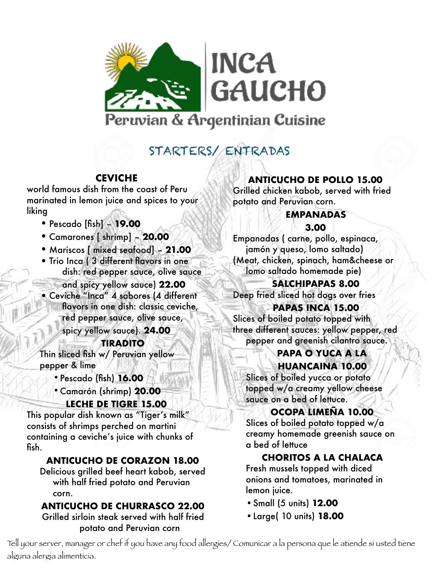

# STARTERS/ ENTRADAS

## **CEVICHE**

world famous dish from the coast of Peru marinated in lemon juice and spices to your liking

- •Pescado [fish] **19.00**
- •Camarones [ shrimp] **20.00**
- Mariscos [ mixed seafood] **21.00**
- Trio Inca (3 different flavors in one dish: red pepper sauce, olive sauce
	- and spicy yellow sauce) **22.00**
- •Ceviche "Inca" 4 sabores (4 different flavors in one dish: classic ceviche, red pepper sauce, olive sauce,

spicy yellow sauce). **24.00**

#### **TIRADITO**

Thin sliced fish w/ Peruvian yellow pepper & lime

- •Pescado (fish) **16.00**
- •Camarón (shrimp) **20.00**

#### **LECHE DE TIGRE 15.00**

This popular dish known as "Tiger's milk" consists of shrimps perched on martini containing a ceviche's juice with chunks of fish.

## **ANTICUCHO DE CORAZON 18.00**

Delicious grilled beef heart kabob, served with half fried potato and Peruvian corn.

## **ANTICUCHO DE CHURRASCO 22.00**

Grilled sirloin steak served with half fried potato and Peruvian corn

## **ANTICUCHO DE POLLO 15.00**

Grilled chicken kabob, served with fried potato and Peruvian corn.

#### **EMPANADAS**

#### **3.00**

Empanadas ( carne, pollo, espinaca, jamón y queso, lomo saltado) (Meat, chicken, spinach, ham&cheese or lomo saltado homemade pie)

## **SALCHIPAPAS 8.00**

Deep fried sliced hot dogs over fries

#### **PAPAS INCA 15.00**

Slices of boiled potato topped with three different sauces: yellow pepper, red pepper and greenish cilantro sauce.

#### **PAPA O YUCA A LA HUANCAINA 10.00**

Slices of boiled yucca or potato topped w/a creamy yellow cheese sauce on a bed of lettuce.

## **OCOPA LIMEÑA 10.00**

Slices of boiled potato topped w/a creamy homemade greenish sauce on a bed of lettuce

## **CHORITOS A LA CHALACA**

Fresh mussels topped with diced onions and tomatoes, marinated in lemon juice.

- •Small (5 units) **12.00**
- •Large( 10 units) **18.00**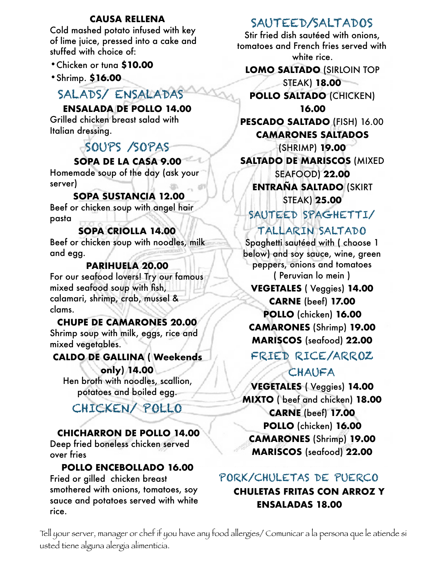#### **CAUSA RELLENA**

Cold mashed potato infused with key of lime juice, pressed into a cake and stuffed with choice of:

- •Chicken or tuna **\$10.00**
- •Shrimp. **\$16.00**

# SALADS/ ENSALADAS

#### **ENSALADA DE POLLO 14.00**

Grilled chicken breast salad with Italian dressing.

# SOUPS /SOPAS

## **SOPA DE LA CASA 9.00**

Homemade soup of the day (ask your server)

#### **SOPA SUSTANCIA 12.00**

Beef or chicken soup with angel hair pasta

#### **SOPA CRIOLLA 14.00**

Beef or chicken soup with noodles, milk and egg.

#### **PARIHUELA 20.00**

For our seafood lovers! Try our famous mixed seafood soup with fish, calamari, shrimp, crab, mussel & clams.

#### **CHUPE DE CAMARONES 20.00**

Shrimp soup with milk, eggs, rice and mixed vegetables.

#### **CALDO DE GALLINA ( Weekends**

**only) 14.00**  Hen broth with noodles, scallion, potatoes and boiled egg.

# CHICKEN/ POLLO

## **CHICHARRON DE POLLO 14.00**

Deep fried boneless chicken served over fries

#### **POLLO ENCEBOLLADO 16.00**

Fried or gilled chicken breast smothered with onions, tomatoes, soy sauce and potatoes served with white rice.

## SAUTEED/SALTADOS

Stir fried dish sautéed with onions, tomatoes and French fries served with white rice.

**LOMO SALTADO** (SIRLOIN TOP

STEAK) **18.00 POLLO SALTADO** (CHICKEN)

**16.00 PESCADO SALTADO** (FISH) 16.00 **CAMARONES SALTADOS** 

(SHRIMP) **19.00 SALTADO DE MARISCOS** (MIXED SEAFOOD) **22.00 ENTRAÑA SALTADO** (SKIRT STEAK) **25.00** 

## SAUTEED SPAGHETTI/

## TALLARIN SALTADO

Spaghetti sautéed with ( choose 1 below) and soy sauce, wine, green peppers, onions and tomatoes ( Peruvian lo mein )

## **VEGETALES** ( Veggies) **14.00 CARNE** (beef) **17.00 POLLO** (chicken) **16.00 CAMARONES** (Shrimp) **19.00 MARISCOS** (seafood) **22.00**

FRIED RICE/ARROZ

## CHAUFA

**VEGETALES** ( Veggies) **14.00 MIXTO** ( beef and chicken) **18.00 CARNE** (beef) **17.00 POLLO** (chicken) **16.00 CAMARONES** (Shrimp) **19.00 MARISCOS** (seafood) **22.00**

## PORK/CHULETAS DE PUERCO

## **CHULETAS FRITAS CON ARROZ Y ENSALADAS 18.00**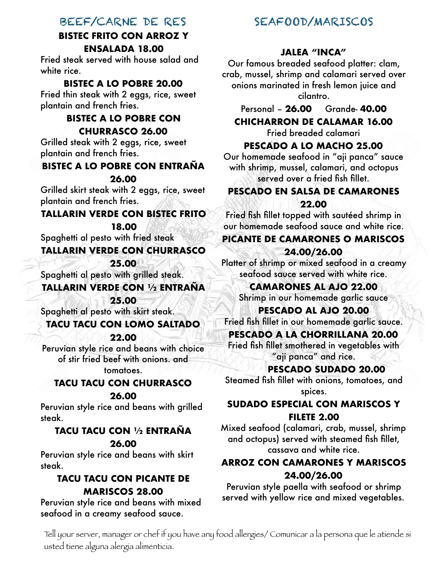## BEEF/CARNE DE RES

#### **BISTEC FRITO CON ARROZ Y ENSALADA 18.00**

Fried steak served with house salad and white rice.

#### **BISTEC A LO POBRE 20.00**

Fried thin steak with 2 eggs, rice, sweet plantain and french fries.

#### **BISTEC A LO POBRE CON CHURRASCO 26.00**

Grilled steak with 2 eggs, rice, sweet plantain and french fries.

#### **BISTEC A LO POBRE CON ENTRAÑA**

#### **26.00**

Grilled skirt steak with 2 eggs, rice, sweet plantain and french fries.

#### **TALLARIN VERDE CON BISTEC FRITO**

**18.00** 

Spaghetti al pesto with fried steak

#### **TALLARIN VERDE CON CHURRASCO**

**25.00** 

Spaghetti al pesto with grilled steak.

## **TALLARIN VERDE CON ½ ENTRAÑA**

**25.00** 

#### Spaghetti al pesto with skirt steak. **TACU TACU CON LOMO SALTADO**

**22.00** 

Peruvian style rice and beans with choice of stir fried beef with onions. and tomatoes.

## **TACU TACU CON CHURRASCO**

#### **26.00**

Peruvian style rice and beans with grilled steak.

# **TACU TACU CON ½ ENTRAÑA**

#### **26.00**

Peruvian style rice and beans with skirt steak.

#### **TACU TACU CON PICANTE DE MARISCOS 28.00**

Peruvian style rice and beans with mixed seafood in a creamy seafood sauce.

## SEAFOOD/MARISCOS

#### **JALEA "INCA"**

Our famous breaded seafood platter: clam, crab, mussel, shrimp and calamari served over onions marinated in fresh lemon juice and cilantro.

## Personal – **26.00** Grande- **40.00**

#### **CHICHARRON DE CALAMAR 16.00**

Fried breaded calamari

#### **PESCADO A LO MACHO 25.00**

Our homemade seafood in "aji panca" sauce with shrimp, mussel, calamari, and octopus served over a fried fish fillet.

# **PESCADO EN SALSA DE CAMARONES**

#### **22.00**

Fried fish fillet topped with sautéed shrimp in our homemade seafood sauce and white rice.

#### **PICANTE DE CAMARONES O MARISCOS 24.00/26.00**

Platter of shrimp or mixed seafood in a creamy seafood sauce served with white rice.

#### **CAMARONES AL AJO 22.00**

Shrimp in our homemade garlic sauce

#### **PESCADO AL AJO 20.00**

Fried fish fillet in our homemade garlic sauce.

#### **PESCADO A LA CHORRILLANA 20.00**

Fried fish fillet smothered in vegetables with "aji panca" and rice.

#### **PESCADO SUDADO 20.00**

Steamed fish fillet with onions, tomatoes, and spices.

#### **SUDADO ESPECIAL CON MARISCOS Y FILETE 2.00**

Mixed seafood (calamari, crab, mussel, shrimp and octopus) served with steamed fish fillet, cassava and white rice.

#### **ARROZ CON CAMARONES Y MARISCOS 24.00/26.00**

Peruvian style paella with seafood or shrimp served with yellow rice and mixed vegetables.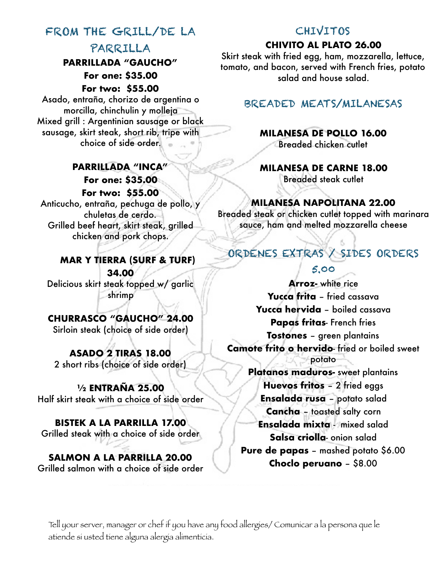# FROM THE GRILL/DE LA

#### PARRILLA **PARRILLADA "GAUCHO"**

**For one: \$35.00** 

**For two: \$55.00** 

Asado, entraña, chorizo de argentina o morcilla, chinchulin y molleja Mixed grill : Argentinian sausage or black sausage, skirt steak, short rib, tripe with choice of side order.

#### **PARRILLADA "INCA" For one: \$35.00 For two: \$55.00**

Anticucho, entraña, pechuga de pollo, y chuletas de cerdo. Grilled beef heart, skirt steak, grilled chicken and pork chops.

#### **MAR Y TIERRA (SURF & TURF) 34.00**

Delicious skirt steak topped w/ garlic shrimp

## **CHURRASCO "GAUCHO" 24.00**

Sirloin steak (choice of side order)

## **ASADO 2 TIRAS 18.00**

2 short ribs (choice of side order)

#### **½ ENTRAÑA 25.00**  Half skirt steak with a choice of side order

## **BISTEK A LA PARRILLA 17.00**

Grilled steak with a choice of side order

#### **SALMON A LA PARRILLA 20.00**  Grilled salmon with a choice of side order

## **CHIVITOS**

#### **CHIVITO AL PLATO 26.00**

Skirt steak with fried egg, ham, mozzarella, lettuce, tomato, and bacon, served with French fries, potato salad and house salad.

## BREADED MEATS/MILANESAS

## **MILANESA DE POLLO 16.00**

Breaded chicken cutlet

#### **MILANESA DE CARNE 18.00**  Breaded steak cutlet

## **MILANESA NAPOLITANA 22.00**

Breaded steak or chicken cutlet topped with marinara sauce, ham and melted mozzarella cheese

# ORDENES EXTRAS / SIDES ORDERS

## 5.00

**Arroz-** white rice **Yucca frita** – fried cassava **Yucca hervida** – boiled cassava **Papas fritas**- French fries **Tostones** – green plantains **Camote frito o hervido**- fried or boiled sweet potato

**Platanos maduros-** sweet plantains **Huevos fritos** – 2 fried eggs **Ensalada rusa** – potato salad **Cancha** – toasted salty corn **Ensalada mixta** - mixed salad **Salsa criolla**- onion salad **Pure de papas** – mashed potato \$6.00 **Choclo peruano** – \$8.00